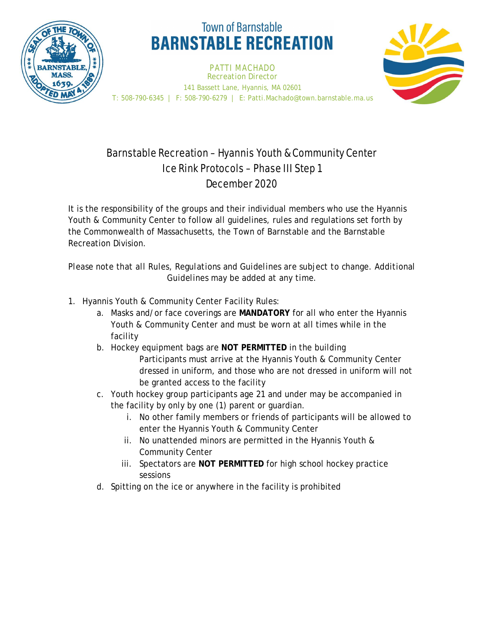

## **Town of Barnstable BARNSTABLE RECREATION**

PATTI MACHADO *Recreation Director* 141 Bassett Lane, Hyannis, MA 02601 T: 508-790-6345 | F: 508-790-6279 | E: Patti.Machado@town.barnstable.ma.us



## Barnstable Recreation – Hyannis Youth & Community Center Ice Rink Protocols – Phase III Step 1 December 2020

It is the responsibility of the groups and their individual members who use the Hyannis Youth & Community Center to follow all guidelines, rules and regulations set forth by the Commonwealth of Massachusetts, the Town of Barnstable and the Barnstable Recreation Division.

*Please note that all Rules, Regulations and Guidelines are subject to change. Additional Guidelines may be added at any time.*

- 1. Hyannis Youth & Community Center Facility Rules:
	- a. Masks and/or face coverings are **MANDATORY** for all who enter the Hyannis Youth & Community Center and must be worn at all times while in the facility
	- b. Hockey equipment bags are **NOT PERMITTED** in the building Participants must arrive at the Hyannis Youth & Community Center dressed in uniform, and those who are not dressed in uniform will not be granted access to the facility
	- c. Youth hockey group participants age 21 and under may be accompanied in the facility by only by one (1) parent or guardian.
		- i. No other family members or friends of participants will be allowed to enter the Hyannis Youth & Community Center
		- ii. No unattended minors are permitted in the Hyannis Youth & Community Center
		- iii. Spectators are **NOT PERMITTED** for high school hockey practice sessions
	- d. Spitting on the ice or anywhere in the facility is prohibited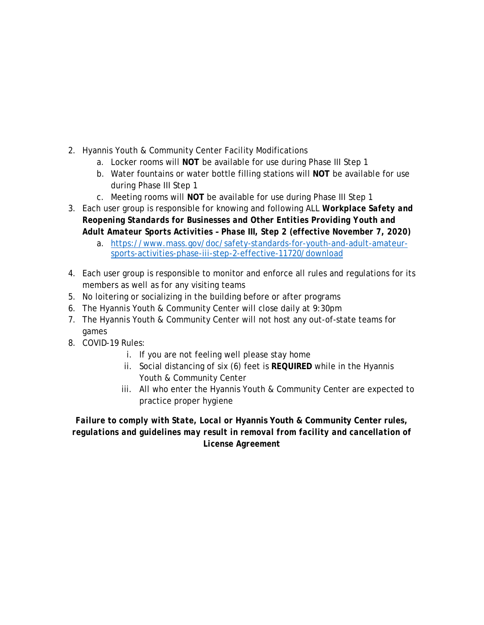- 2. Hyannis Youth & Community Center Facility Modifications
	- a. Locker rooms will **NOT** be available for use during Phase III Step 1
	- b. Water fountains or water bottle filling stations will **NOT** be available for use during Phase III Step 1
	- c. Meeting rooms will **NOT** be available for use during Phase III Step 1
- 3. Each user group is responsible for knowing and following ALL *Workplace Safety and Reopening Standards for Businesses and Other Entities Providing Youth and Adult Amateur Sports Activities – Phase III, Step 2 (effective November 7, 2020)*
	- a. https://www.mass.gov/doc/safety-standards-for-youth-and-adult-amateursports-activities-phase-iii-step-2-effective-11720/download
- 4. Each user group is responsible to monitor and enforce all rules and regulations for its members as well as for any visiting teams
- 5. No loitering or socializing in the building before or after programs
- 6. The Hyannis Youth & Community Center will close daily at 9:30pm
- 7. The Hyannis Youth & Community Center will not host any out-of-state teams for games
- 8. COVID-19 Rules:
	- i. If you are not feeling well please stay home
	- ii. Social distancing of six (6) feet is **REQUIRED** while in the Hyannis Youth & Community Center
	- iii. All who enter the Hyannis Youth & Community Center are expected to practice proper hygiene

## *Failure to comply with State, Local or* **Hyannis Youth & Community Center** *rules, regulations and guidelines may result in removal from facility and cancellation of License Agreement*